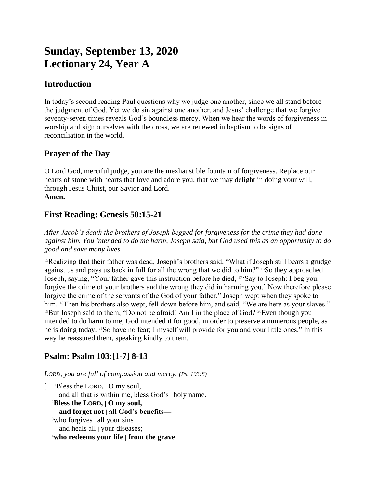# **Sunday, September 13, 2020 Lectionary 24, Year A**

# **Introduction**

In today's second reading Paul questions why we judge one another, since we all stand before the judgment of God. Yet we do sin against one another, and Jesus' challenge that we forgive seventy-seven times reveals God's boundless mercy. When we hear the words of forgiveness in worship and sign ourselves with the cross, we are renewed in baptism to be signs of reconciliation in the world.

## **Prayer of the Day**

O Lord God, merciful judge, you are the inexhaustible fountain of forgiveness. Replace our hearts of stone with hearts that love and adore you, that we may delight in doing your will, through Jesus Christ, our Savior and Lord. **Amen.**

# **First Reading: Genesis 50:15-21**

*After Jacob's death the brothers of Joseph begged for forgiveness for the crime they had done against him. You intended to do me harm, Joseph said, but God used this as an opportunity to do good and save many lives.*

<sup>15</sup>Realizing that their father was dead, Joseph's brothers said, "What if Joseph still bears a grudge against us and pays us back in full for all the wrong that we did to him?" <sup>16</sup>So they approached Joseph, saying, "Your father gave this instruction before he died, 17'Say to Joseph: I beg you, forgive the crime of your brothers and the wrong they did in harming you.' Now therefore please forgive the crime of the servants of the God of your father." Joseph wept when they spoke to him. <sup>18</sup>Then his brothers also wept, fell down before him, and said, "We are here as your slaves." <sup>19</sup>But Joseph said to them, "Do not be afraid! Am I in the place of God? <sup>20</sup>Even though you intended to do harm to me, God intended it for good, in order to preserve a numerous people, as he is doing today. 21So have no fear; I myself will provide for you and your little ones." In this way he reassured them, speaking kindly to them.

# **Psalm: Psalm 103:[1-7] 8-13**

*LORD, you are full of compassion and mercy. (Ps. 103:8)*

[ <sup>1</sup>Bless the LORD, | O my soul, and all that is within me, bless God's | holy name. <sup>2</sup>**Bless the LORD, | O my soul, and forget not | all God's benefits—** <sup>3</sup>who forgives | all your sins and heals all | your diseases; <sup>4</sup>**who redeems your life | from the grave**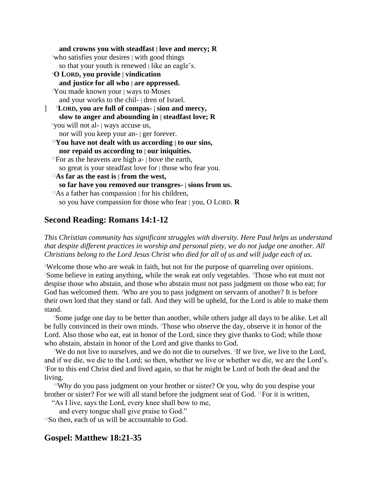**and crowns you with steadfast | love and mercy; R**  $5$ who satisfies your desires | with good things so that your youth is renewed | like an eagle's. <sup>6</sup>**O LORD, you provide | vindication and justice for all who | are oppressed.** <sup>7</sup>You made known your | ways to Moses and your works to the chil- | dren of Israel. ] 8**LORD, you are full of compas- | sion and mercy, slow to anger and abounding in | steadfast love; R** <sup>9</sup>you will not al- | ways accuse us, nor will you keep your an- | ger forever. <sup>10</sup>**You have not dealt with us according | to our sins, nor repaid us according to | our iniquities.** <sup>11</sup>For as the heavens are high  $a$ -  $\vert$  bove the earth, so great is your steadfast love for | those who fear you. <sup>12</sup>**As far as the east is | from the west, so far have you removed our transgres- | sions from us.**  $13As$  a father has compassion  $\vert$  for his children, so you have compassion for those who fear | you, O LORD. **R**

## **Second Reading: Romans 14:1-12**

*This Christian community has significant struggles with diversity. Here Paul helps us understand that despite different practices in worship and personal piety, we do not judge one another. All Christians belong to the Lord Jesus Christ who died for all of us and will judge each of us.*

<sup>1</sup>Welcome those who are weak in faith, but not for the purpose of quarreling over opinions. <sup>2</sup>Some believe in eating anything, while the weak eat only vegetables. <sup>3</sup>Those who eat must not despise those who abstain, and those who abstain must not pass judgment on those who eat; for God has welcomed them. <sup>4</sup>Who are you to pass judgment on servants of another? It is before their own lord that they stand or fall. And they will be upheld, for the Lord is able to make them stand.

<sup>5</sup>Some judge one day to be better than another, while others judge all days to be alike. Let all be fully convinced in their own minds. Those who observe the day, observe it in honor of the Lord. Also those who eat, eat in honor of the Lord, since they give thanks to God; while those who abstain, abstain in honor of the Lord and give thanks to God.

We do not live to ourselves, and we do not die to ourselves. <sup>8</sup>If we live, we live to the Lord, and if we die, we die to the Lord; so then, whether we live or whether we die, we are the Lord's. <sup>9</sup>For to this end Christ died and lived again, so that he might be Lord of both the dead and the living.

<sup>10</sup>Why do you pass judgment on your brother or sister? Or you, why do you despise your brother or sister? For we will all stand before the judgment seat of God. 11For it is written,

"As I live, says the Lord, every knee shall bow to me,

and every tongue shall give praise to God."

<sup>12</sup>So then, each of us will be accountable to God.

## **Gospel: Matthew 18:21-35**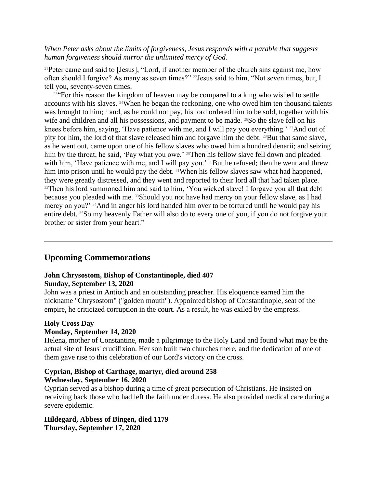*When Peter asks about the limits of forgiveness, Jesus responds with a parable that suggests human forgiveness should mirror the unlimited mercy of God.*

<sup>21</sup>Peter came and said to [Jesus], "Lord, if another member of the church sins against me, how often should I forgive? As many as seven times?" 22Jesus said to him, "Not seven times, but, I tell you, seventy-seven times.

<sup>23"</sup>For this reason the kingdom of heaven may be compared to a king who wished to settle accounts with his slaves. 24When he began the reckoning, one who owed him ten thousand talents was brought to him; <sup>25</sup> and, as he could not pay, his lord ordered him to be sold, together with his wife and children and all his possessions, and payment to be made. <sup>26</sup>So the slave fell on his knees before him, saying, 'Have patience with me, and I will pay you everything.' <sup>27</sup>And out of pity for him, the lord of that slave released him and forgave him the debt. <sup>28</sup>But that same slave, as he went out, came upon one of his fellow slaves who owed him a hundred denarii; and seizing him by the throat, he said, 'Pay what you owe.' <sup>29</sup>Then his fellow slave fell down and pleaded with him, 'Have patience with me, and I will pay you.' <sup>30</sup>But he refused; then he went and threw him into prison until he would pay the debt. <sup>31</sup>When his fellow slaves saw what had happened, they were greatly distressed, and they went and reported to their lord all that had taken place. <sup>32</sup>Then his lord summoned him and said to him, 'You wicked slave! I forgave you all that debt because you pleaded with me. 33Should you not have had mercy on your fellow slave, as I had mercy on you?' 34And in anger his lord handed him over to be tortured until he would pay his entire debt. 35So my heavenly Father will also do to every one of you, if you do not forgive your brother or sister from your heart."

## **Upcoming Commemorations**

### **John Chrysostom, Bishop of Constantinople, died 407 Sunday, September 13, 2020**

John was a priest in Antioch and an outstanding preacher. His eloquence earned him the nickname "Chrysostom" ("golden mouth"). Appointed bishop of Constantinople, seat of the empire, he criticized corruption in the court. As a result, he was exiled by the empress.

#### **Holy Cross Day Monday, September 14, 2020**

Helena, mother of Constantine, made a pilgrimage to the Holy Land and found what may be the actual site of Jesus' crucifixion. Her son built two churches there, and the dedication of one of them gave rise to this celebration of our Lord's victory on the cross.

## **Cyprian, Bishop of Carthage, martyr, died around 258 Wednesday, September 16, 2020**

Cyprian served as a bishop during a time of great persecution of Christians. He insisted on receiving back those who had left the faith under duress. He also provided medical care during a severe epidemic.

### **Hildegard, Abbess of Bingen, died 1179 Thursday, September 17, 2020**